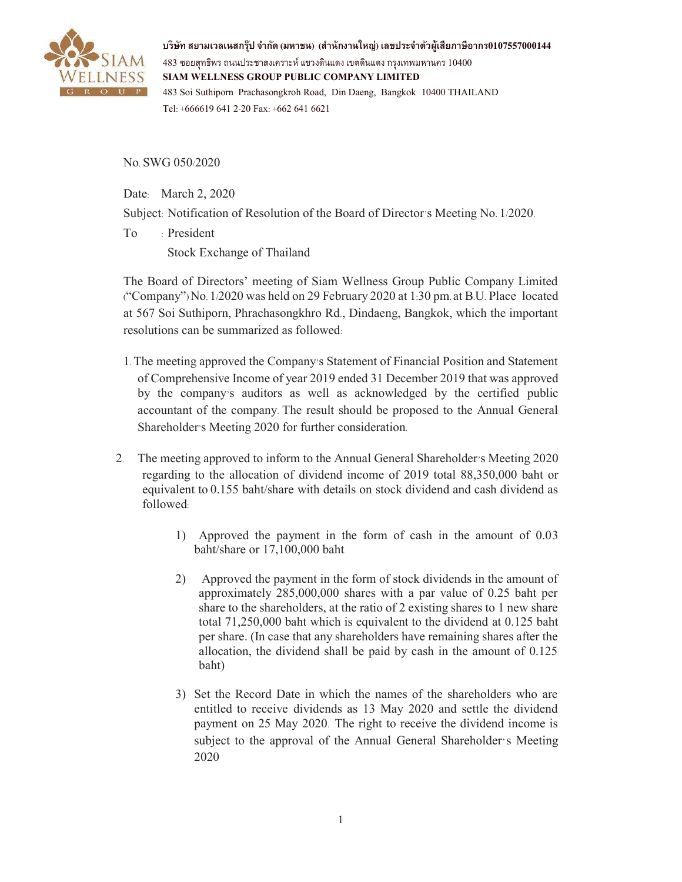

**บริษัท สยามเวลเนสกรุ๊ป จํากัด (มหาชน) (สํานักงานใหญ่) เลขประจําตัวผู้เสียภาษีอากร0107557000144**  $483$  ซอยสุทธิพร ถนนประชาสงเคราะห์ แขวงดินแดง เขตดินแดง กรงเทพมหานคร  $10400$ **SIAM WELLNESS GROUP PUBLIC COMPANY LIMITED**  483 Soi Suthiporn Prachasongkroh Road, Din Daeng, Bangkok 10400 THAILAND Tel: +666619 641 2-20 Fax: +662 641 6621

No. SWG 050/2020

Date: March 2, 2020

Subject: Notification of Resolution of the Board of Director's Meeting No. 1/2020.

To : President Stock Exchange of Thailand

The Board of Directors' meeting of Siam Wellness Group Public Company Limited ("Company") No. 1/2020 was held on 29 February 2020 at 1:30 pm. at B.U. Place located at 567 Soi Suthiporn, Phrachasongkhro Rd., Dindaeng, Bangkok, which the important resolutions can be summarized as followed:

- 1. The meeting approved the Company's Statement of Financial Position and Statement of Comprehensive Income of year 2019 ended 31 December 2019 that was approved by the company's auditors as well as acknowledged by the certified public accountant of the company. The result should be proposed to the Annual General Shareholder's Meeting 2020 for further consideration.
- 2. The meeting approved to inform to the Annual General Shareholder's Meeting 2020 regarding to the allocation of dividend income of 2019 total 88,350,000 baht or equivalent to 0.155 baht/share with details on stock dividend and cash dividend as followed:
	- 1) Approved the payment in the form of cash in the amount of 0.03 baht/share or 17,100,000 baht
	- 2) Approved the payment in the form of stock dividends in the amount of approximately 285,000,000 shares with a par value of 0.25 baht per share to the shareholders, at the ratio of 2 existing shares to 1 new share total 71,250,000 baht which is equivalent to the dividend at 0.125 baht per share. (In case that any shareholders have remaining shares after the allocation, the dividend shall be paid by cash in the amount of 0.125 baht)
	- 3) Set the Record Date in which the names of the shareholders who are entitled to receive dividends as 13 May 2020 and settle the dividend payment on 25 May 2020. The right to receive the dividend income is subject to the approval of the Annual General Shareholder's Meeting 2020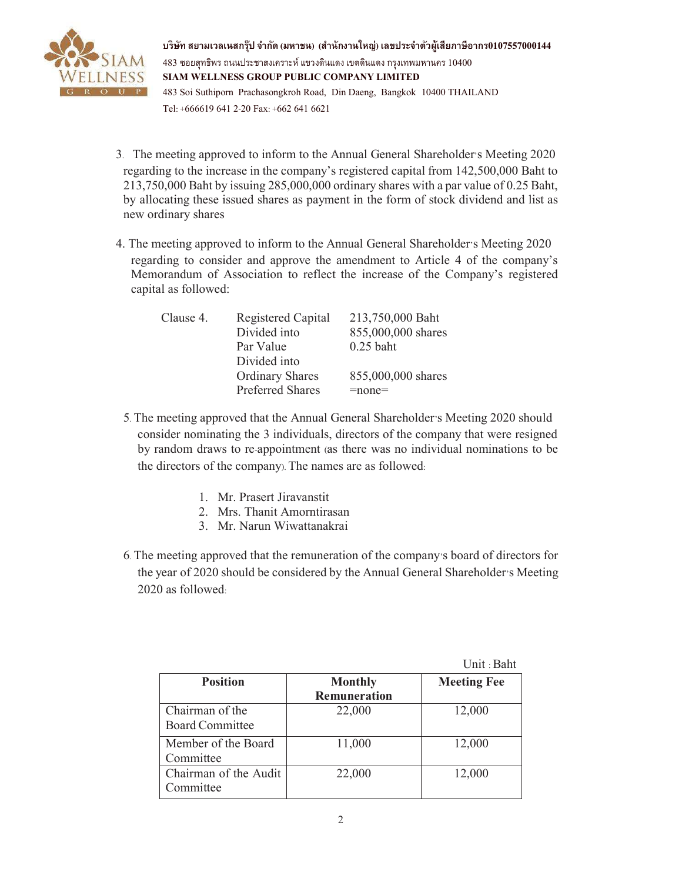

**บริษัท สยามเวลเนสกรุ๊ป จํากัด (มหาชน) (สํานักงานใหญ่) เลขประจําตัวผู้เสียภาษีอากร0107557000144**  $483$  ซอยสุทธิพร ถนนประชาสงเคราะห์ แขวงดินแดง เขตดินแดง กรงเทพมหานคร  $10400$ **SIAM WELLNESS GROUP PUBLIC COMPANY LIMITED**  483 Soi Suthiporn Prachasongkroh Road, Din Daeng, Bangkok 10400 THAILAND Tel: +666619 641 2-20 Fax: +662 641 6621

- 3. The meeting approved to inform to the Annual General Shareholder's Meeting 2020 regarding to the increase in the company's registered capital from 142,500,000 Baht to 213,750,000 Baht by issuing 285,000,000 ordinary shares with a par value of 0.25 Baht, by allocating these issued shares as payment in the form of stock dividend and list as new ordinary shares
- 4. The meeting approved to inform to the Annual General Shareholder's Meeting 2020 regarding to consider and approve the amendment to Article 4 of the company's Memorandum of Association to reflect the increase of the Company's registered capital as followed:

| Clause 4. | Registered Capital      | 213,750,000 Baht   |
|-----------|-------------------------|--------------------|
|           | Divided into            | 855,000,000 shares |
|           | Par Value               | $0.25$ baht        |
|           | Divided into            |                    |
|           | <b>Ordinary Shares</b>  | 855,000,000 shares |
|           | <b>Preferred Shares</b> | $=$ none $=$       |

- 5. The meeting approved that the Annual General Shareholder's Meeting 2020 should consider nominating the 3 individuals, directors of the company that were resigned by random draws to re-appointment (as there was no individual nominations to be the directors of the company). The names are as followed:
	- 1. Mr. Prasert Jiravanstit
	- 2. Mrs. Thanit Amorntirasan
	- 3. Mr. Narun Wiwattanakrai
- 6. The meeting approved that the remuneration of the company's board of directors for the year of 2020 should be considered by the Annual General Shareholder's Meeting 2020 as followed:

 $U$  : Bah

|                        |                     | Unit : Baht        |
|------------------------|---------------------|--------------------|
| <b>Position</b>        | <b>Monthly</b>      | <b>Meeting Fee</b> |
|                        | <b>Remuneration</b> |                    |
| Chairman of the        | 22,000              | 12,000             |
| <b>Board Committee</b> |                     |                    |
| Member of the Board    | 11,000              | 12,000             |
| Committee              |                     |                    |
| Chairman of the Audit  | 22,000              | 12,000             |
| Committee              |                     |                    |
|                        |                     |                    |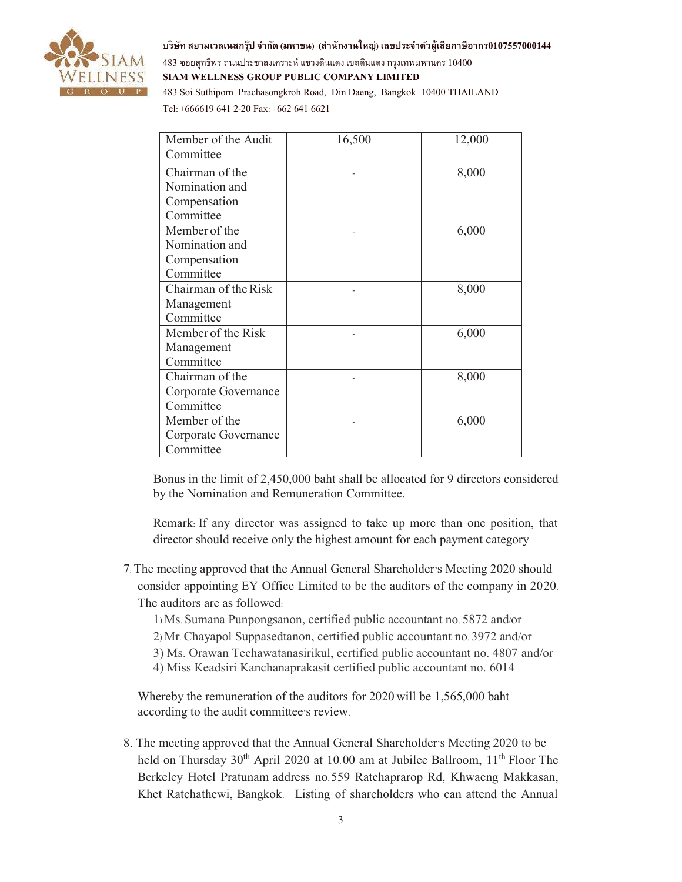

**บริษัท สยามเวลเนสกรุ๊ป จํากัด (มหาชน) (สํานักงานใหญ่) เลขประจําตัวผู้เสียภาษีอากร0107557000144**  $483$  ซอยสุทธิพร ถนนประชาสงเคราะห์ แขวงดินแดง เขตดินแดง กรงเทพมหานคร  $10400$ **SIAM WELLNESS GROUP PUBLIC COMPANY LIMITED**  483 Soi Suthiporn Prachasongkroh Road, Din Daeng, Bangkok 10400 THAILAND

Tel: +666619 641 2-20 Fax: +662 641 6621

| Member of the Audit  | 16,500 | 12,000 |
|----------------------|--------|--------|
| Committee            |        |        |
| Chairman of the      |        | 8,000  |
| Nomination and       |        |        |
| Compensation         |        |        |
| Committee            |        |        |
| Member of the        |        | 6,000  |
| Nomination and       |        |        |
| Compensation         |        |        |
| Committee            |        |        |
| Chairman of the Risk |        | 8,000  |
| Management           |        |        |
| Committee            |        |        |
| Member of the Risk   |        | 6,000  |
| Management           |        |        |
| Committee            |        |        |
| Chairman of the      |        | 8,000  |
| Corporate Governance |        |        |
| Committee            |        |        |
| Member of the        |        | 6,000  |
| Corporate Governance |        |        |
| Committee            |        |        |

Bonus in the limit of 2,450,000 baht shall be allocated for 9 directors considered by the Nomination and Remuneration Committee.

Remark: If any director was assigned to take up more than one position, that director should receive only the highest amount for each payment category

- 7. The meeting approved that the Annual General Shareholder's Meeting 2020 should consider appointing EY Office Limited to be the auditors of the company in 2020. The auditors are as followed:
	- 1) Ms. Sumana Punpongsanon, certified public accountant no. 5872 and/or
	- 2) Mr. Chayapol Suppasedtanon, certified public accountant no. 3972 and/or
	- 3) Ms. Orawan Techawatanasirikul, certified public accountant no. 4807 and/or
	- 4) Miss Keadsiri Kanchanaprakasit certified public accountant no. 6014

Whereby the remuneration of the auditors for 2020 will be 1,565,000 baht according to the audit committee's review.

8. The meeting approved that the Annual General Shareholder's Meeting 2020 to be held on Thursday  $30<sup>th</sup>$  April 2020 at 10.00 am at Jubilee Ballroom,  $11<sup>th</sup>$  Floor The Berkeley Hotel Pratunam address no.559 Ratchaprarop Rd, Khwaeng Makkasan, Khet Ratchathewi, Bangkok. Listing of shareholders who can attend the Annual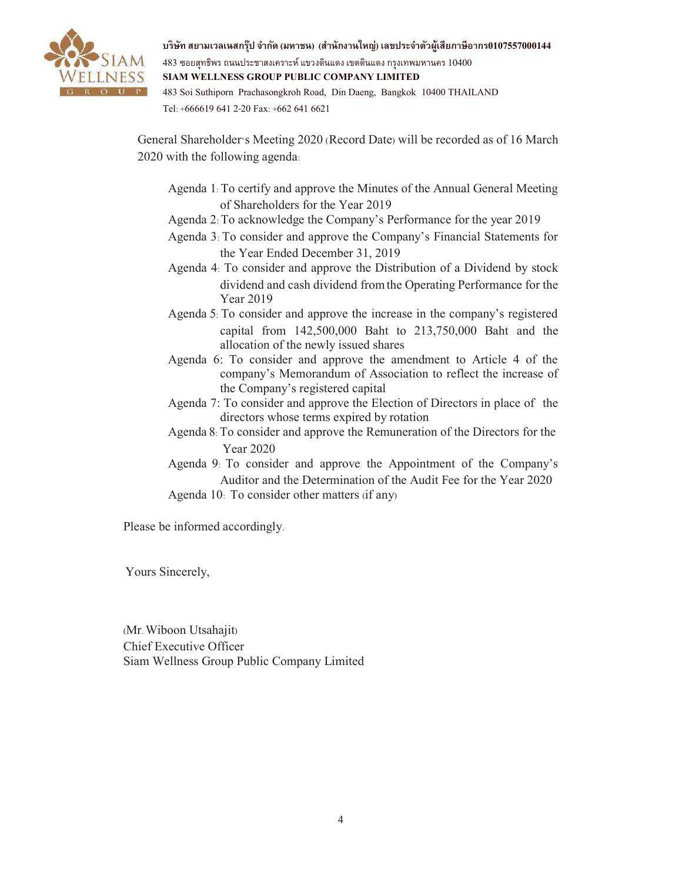

**บริษัท สยามเวลเนสกรุ๊ป จํากัด (มหาชน) (สํานักงานใหญ่) เลขประจําตัวผู้เสียภาษีอากร0107557000144** 483 ซอยสุทธิพร ถนนประชาสงเคราะห์แขวงดินแดง เขตดินแดง กรุงเทพมหานคร10400 **SIAM WELLNESS GROUP PUBLIC COMPANY LIMITED**  483 Soi Suthiporn Prachasongkroh Road, Din Daeng, Bangkok 10400 THAILAND

Tel: +666619 641 2-20 Fax: +662 641 6621

General Shareholder's Meeting 2020 (Record Date) will be recorded as of 16 March 2020 with the following agenda:

- Agenda 1: To certify and approve the Minutes of the Annual General Meeting of Shareholders for the Year 2019
- Agenda 2: To acknowledge the Company's Performance for the year 2019
- Agenda 3: To consider and approve the Company's Financial Statements for the Year Ended December 31, 2019
- Agenda 4: To consider and approve the Distribution of a Dividend by stock dividend and cash dividend fromthe Operating Performance for the Year 2019
- Agenda 5: To consider and approve the increase in the company's registered capital from 142,500,000 Baht to 213,750,000 Baht and the allocation of the newly issued shares
- Agenda 6: To consider and approve the amendment to Article 4 of the company's Memorandum of Association to reflect the increase of the Company's registered capital
- Agenda 7: To consider and approve the Election of Directors in place of the directors whose terms expired by rotation
- Agenda 8: To consider and approve the Remuneration of the Directors for the Year 2020
- Agenda 9: To consider and approve the Appointment of the Company's Auditor and the Determination of the Audit Fee for the Year 2020 Agenda 10: To consider other matters (if any)

Please be informed accordingly.

Yours Sincerely,

(Mr. Wiboon Utsahajit) Chief Executive Officer Siam Wellness Group Public Company Limited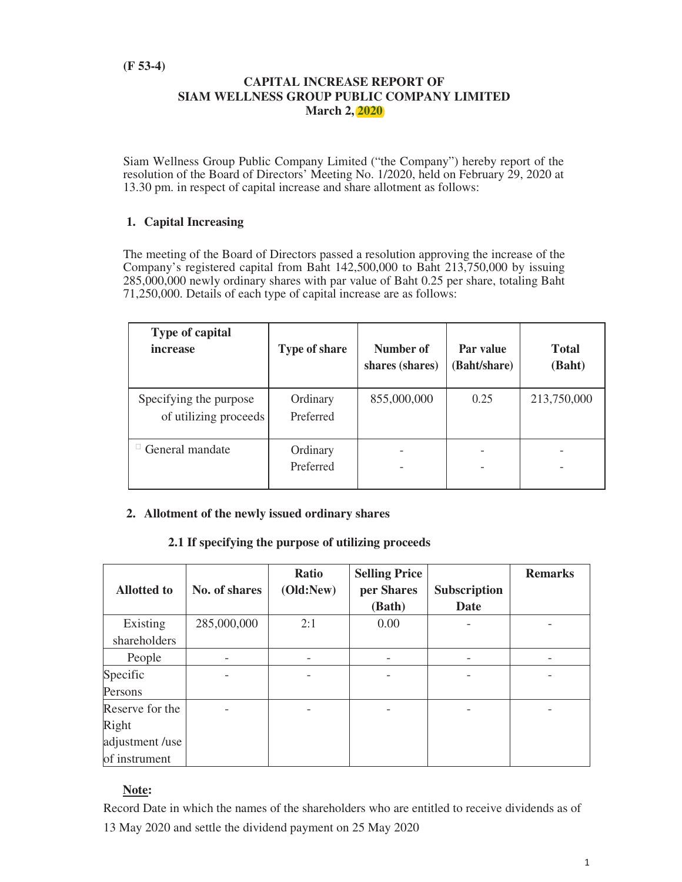## **CAPITAL INCREASE REPORT OF SIAM WELLNESS GROUP PUBLIC COMPANY LIMITED March 2, 2020**

Siam Wellness Group Public Company Limited ("the Company") hereby report of the resolution of the Board of Directors' Meeting No. 1/2020, held on February 29, 2020 at 13.30 pm. in respect of capital increase and share allotment as follows:

# **1. Capital Increasing**

The meeting of the Board of Directors passed a resolution approving the increase of the Company's registered capital from Baht 142,500,000 to Baht 213,750,000 by issuing 285,000,000 newly ordinary shares with par value of Baht 0.25 per share, totaling Baht 71,250,000. Details of each type of capital increase are as follows:

| <b>Type of capital</b><br><i>increase</i>       | Type of share         | Number of<br>shares (shares) | Par value<br>(Baht/share) | <b>Total</b><br>(Baht) |
|-------------------------------------------------|-----------------------|------------------------------|---------------------------|------------------------|
| Specifying the purpose<br>of utilizing proceeds | Ordinary<br>Preferred | 855,000,000                  | 0.25                      | 213,750,000            |
| General mandate                                 | Ordinary<br>Preferred |                              |                           |                        |

### **2. Allotment of the newly issued ordinary shares**

### **2.1 If specifying the purpose of utilizing proceeds**

|                    |               | Ratio     | <b>Selling Price</b> |                     | <b>Remarks</b> |
|--------------------|---------------|-----------|----------------------|---------------------|----------------|
| <b>Allotted to</b> | No. of shares | (Old:New) | per Shares           | <b>Subscription</b> |                |
|                    |               |           | (Bath)               | <b>Date</b>         |                |
| Existing           | 285,000,000   | 2:1       | 0.00                 |                     |                |
| shareholders       |               |           |                      |                     |                |
| People             |               | -         |                      |                     |                |
| Specific           |               |           |                      |                     |                |
| Persons            |               |           |                      |                     |                |
| Reserve for the    |               |           |                      |                     |                |
| Right              |               |           |                      |                     |                |
| adjustment /use    |               |           |                      |                     |                |
| of instrument      |               |           |                      |                     |                |

# **Note:**

Record Date in which the names of the shareholders who are entitled to receive dividends as of 13 May 2020 and settle the dividend payment on 25 May 2020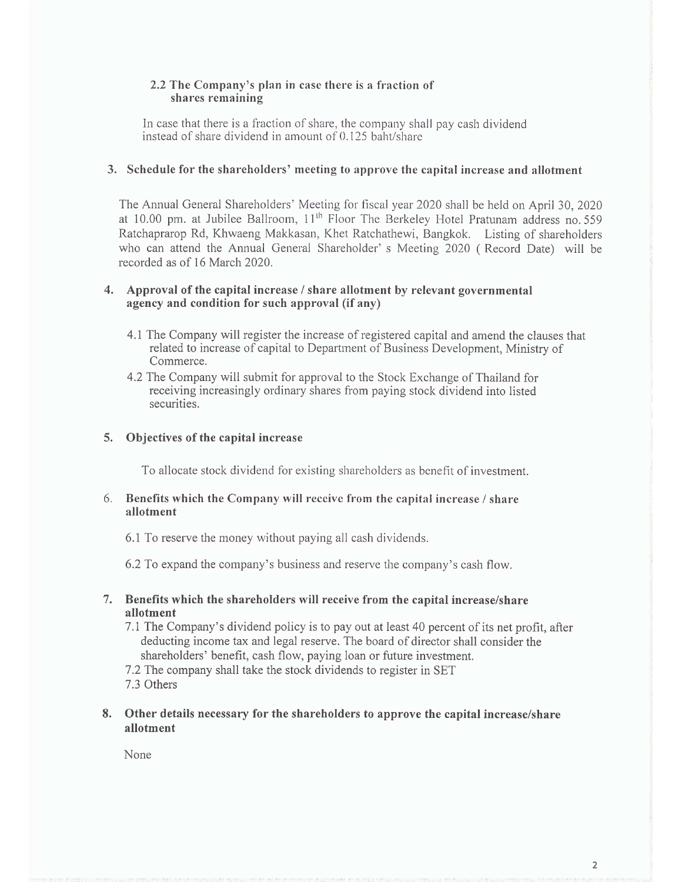### 2.2 The Company's plan in case there is a fraction of shares remaining

In case that there is a fraction of share, the company shall pay cash dividend instead of share dividend in amount of 0.125 baht/share

#### 3. Schedule for the shareholders' meeting to approve the capital increase and allotment

The Annual General Shareholders' Meeting for fiscal year 2020 shall be held on April 30, 2020 at 10.00 pm. at Jubilee Ballroom, 11<sup>th</sup> Floor The Berkeley Hotel Pratunam address no. 559 Ratchaprarop Rd, Khwaeng Makkasan, Khet Ratchathewi, Bangkok. Listing of shareholders who can attend the Annual General Shareholder's Meeting 2020 (Record Date) will be recorded as of 16 March 2020.

#### 4. Approval of the capital increase / share allotment by relevant governmental agency and condition for such approval (if any)

- 4.1 The Company will register the increase of registered capital and amend the clauses that related to increase of capital to Department of Business Development, Ministry of Commerce.
- 4.2 The Company will submit for approval to the Stock Exchange of Thailand for receiving increasingly ordinary shares from paying stock dividend into listed securities.

#### 5. Objectives of the capital increase

To allocate stock dividend for existing shareholders as benefit of investment.

#### 6. Benefits which the Company will receive from the capital increase / share allotment

6.1 To reserve the money without paying all cash dividends.

6.2 To expand the company's business and reserve the company's cash flow.

- 7. Benefits which the shareholders will receive from the capital increase/share allotment
	- 7.1 The Company's dividend policy is to pay out at least 40 percent of its net profit, after deducting income tax and legal reserve. The board of director shall consider the shareholders' benefit, cash flow, paying loan or future investment.
	- 7.2 The company shall take the stock dividends to register in SET 7.3 Others
- 8. Other details necessary for the shareholders to approve the capital increase/share allotment

None